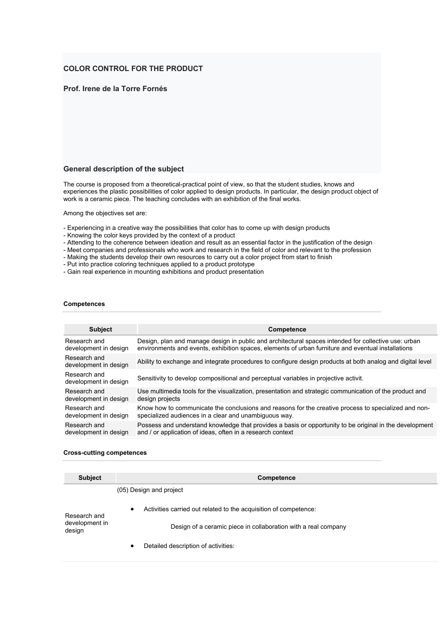# **COLOR CONTROL FOR THE PRODUCT**

# **Prof. Irene de la Torre Fornés**

### **General description of the subject**

The course is proposed from a theoretical-practical point of view, so that the student studies, knows and experiences the plastic possibilities of color applied to design products. In particular, the design product object of work is a ceramic piece. The teaching concludes with an exhibition of the final works.

Among the objectives set are:

- Experiencing in a creative way the possibilities that color has to come up with design products
- Knowing the color keys provided by the context of a product
- Attending to the coherence between ideation and result as an essential factor in the justification of the design
- Meet companies and professionals who work and research in the field of color and relevant to the profession
- Making the students develop their own resources to carry out a color project from start to finish
- Put into practice coloring techniques applied to a product prototype
- Gain real experience in mounting exhibitions and product presentation

#### **Competences**

| <b>Subject</b>                        | Competence                                                                                                 |
|---------------------------------------|------------------------------------------------------------------------------------------------------------|
| Research and                          | Design, plan and manage design in public and architectural spaces intended for collective use: urban       |
| development in design                 | environments and events, exhibition spaces, elements of urban furniture and eventual installations         |
| Research and<br>development in design | Ability to exchange and integrate procedures to configure design products at both analog and digital level |
| Research and<br>development in design | Sensitivity to develop compositional and perceptual variables in projective activit.                       |
| Research and                          | Use multimedia tools for the visualization, presentation and strategic communication of the product and    |
| development in design                 | design projects                                                                                            |
| Research and                          | Know how to communicate the conclusions and reasons for the creative process to specialized and non-       |
| development in design                 | specialized audiences in a clear and unambiquous way.                                                      |
| Research and                          | Possess and understand knowledge that provides a basis or opportunity to be original in the development    |
| development in design                 | and / or application of ideas, often in a research context                                                 |

#### **Cross-cutting competences**

| <b>Subject</b>                           | Competence                                                                    |  |  |
|------------------------------------------|-------------------------------------------------------------------------------|--|--|
|                                          | (05) Design and project                                                       |  |  |
| Research and<br>development in<br>design | Activities carried out related to the acquisition of competence:<br>$\bullet$ |  |  |
|                                          | Design of a ceramic piece in collaboration with a real company                |  |  |
|                                          | Detailed description of activities:                                           |  |  |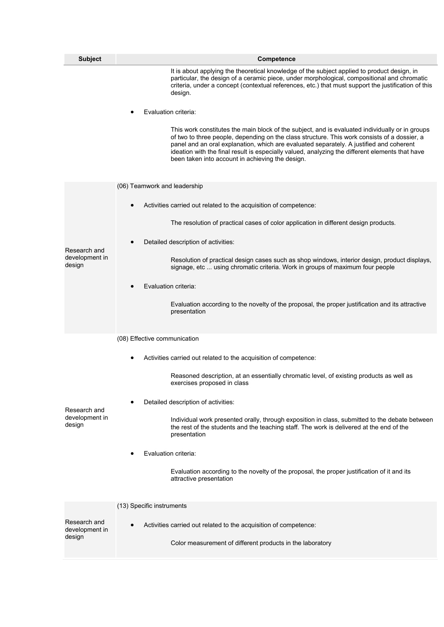| <b>Subject</b>                           | Competence                                                                                                                                                                                                                                                                                                                                                                                                                                        |  |
|------------------------------------------|---------------------------------------------------------------------------------------------------------------------------------------------------------------------------------------------------------------------------------------------------------------------------------------------------------------------------------------------------------------------------------------------------------------------------------------------------|--|
|                                          | It is about applying the theoretical knowledge of the subject applied to product design, in<br>particular, the design of a ceramic piece, under morphological, compositional and chromatic<br>criteria, under a concept (contextual references, etc.) that must support the justification of this<br>design.                                                                                                                                      |  |
|                                          | Evaluation criteria:                                                                                                                                                                                                                                                                                                                                                                                                                              |  |
|                                          | This work constitutes the main block of the subject, and is evaluated individually or in groups<br>of two to three people, depending on the class structure. This work consists of a dossier, a<br>panel and an oral explanation, which are evaluated separately. A justified and coherent<br>ideation with the final result is especially valued, analyzing the different elements that have<br>been taken into account in achieving the design. |  |
|                                          | (06) Teamwork and leadership                                                                                                                                                                                                                                                                                                                                                                                                                      |  |
|                                          | Activities carried out related to the acquisition of competence:                                                                                                                                                                                                                                                                                                                                                                                  |  |
|                                          | The resolution of practical cases of color application in different design products.                                                                                                                                                                                                                                                                                                                                                              |  |
|                                          | Detailed description of activities:                                                                                                                                                                                                                                                                                                                                                                                                               |  |
| Research and<br>development in<br>design | Resolution of practical design cases such as shop windows, interior design, product displays,<br>signage, etc  using chromatic criteria. Work in groups of maximum four people                                                                                                                                                                                                                                                                    |  |
|                                          | Evaluation criteria:                                                                                                                                                                                                                                                                                                                                                                                                                              |  |
|                                          | Evaluation according to the novelty of the proposal, the proper justification and its attractive<br>presentation                                                                                                                                                                                                                                                                                                                                  |  |
|                                          | (08) Effective communication                                                                                                                                                                                                                                                                                                                                                                                                                      |  |
|                                          | Activities carried out related to the acquisition of competence:                                                                                                                                                                                                                                                                                                                                                                                  |  |
|                                          | Reasoned description, at an essentially chromatic level, of existing products as well as<br>exercises proposed in class                                                                                                                                                                                                                                                                                                                           |  |
|                                          | Detailed description of activities:                                                                                                                                                                                                                                                                                                                                                                                                               |  |
| Research and<br>development in<br>design | Individual work presented orally, through exposition in class, submitted to the debate between<br>the rest of the students and the teaching staff. The work is delivered at the end of the<br>presentation                                                                                                                                                                                                                                        |  |
|                                          | Evaluation criteria:                                                                                                                                                                                                                                                                                                                                                                                                                              |  |
|                                          | Evaluation according to the novelty of the proposal, the proper justification of it and its<br>attractive presentation                                                                                                                                                                                                                                                                                                                            |  |
|                                          | (13) Specific instruments                                                                                                                                                                                                                                                                                                                                                                                                                         |  |
| Research and<br>development in<br>design | Activities carried out related to the acquisition of competence:                                                                                                                                                                                                                                                                                                                                                                                  |  |
|                                          | Color measurement of different products in the laboratory                                                                                                                                                                                                                                                                                                                                                                                         |  |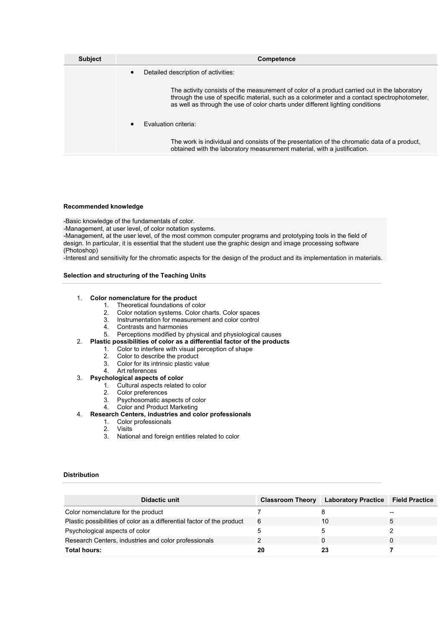| <b>Subject</b> | <b>Competence</b>                                                                                                                                                                                                                                                              |  |
|----------------|--------------------------------------------------------------------------------------------------------------------------------------------------------------------------------------------------------------------------------------------------------------------------------|--|
|                | Detailed description of activities:                                                                                                                                                                                                                                            |  |
|                | The activity consists of the measurement of color of a product carried out in the laboratory<br>through the use of specific material, such as a colorimeter and a contact spectrophotometer,<br>as well as through the use of color charts under different lighting conditions |  |
|                | <b>Evaluation criteria:</b><br>$\bullet$                                                                                                                                                                                                                                       |  |
|                | The work is individual and consists of the presentation of the chromatic data of a product,<br>obtained with the laboratory measurement material, with a justification.                                                                                                        |  |

#### **Recommended knowledge**

-Basic knowledge of the fundamentals of color.

-Management, at user level, of color notation systems.

-Management, at the user level, of the most common computer programs and prototyping tools in the field of design. In particular, it is essential that the student use the graphic design and image processing software (Photoshop)

-Interest and sensitivity for the chromatic aspects for the design of the product and its implementation in materials.

### **Selection and structuring of the Teaching Units**

### 1. **Color nomenclature for the product**

- 1. Theoretical foundations of color
- 2. Color notation systems. Color charts. Color spaces
- 3. Instrumentation for measurement and color control
- 4. Contrasts and harmonies
- 5. Perceptions modified by physical and physiological causes
- 2. **Plastic possibilities of color as a differential factor of the products**
	- 1. Color to interfere with visual perception of shape
		- 2. Color to describe the product<br>3. Color for its intrinsic plastic va
		- Color for its intrinsic plastic value
		- 4. Art references

### 3. **Psychological aspects of color**

- 1. Cultural aspects related to color
- 2. Color preferences
- 3. Psychosomatic aspects of color
- 4. Color and Product Marketing

# 4. **Research Centers, industries and color professionals**

- 1. Color professionals
	- 2. Visits
	- 3. National and foreign entities related to color

### **Distribution**

| Didactic unit                                                          | <b>Classroom Theory</b> | <b>Laboratory Practice</b> | <b>Field Practice</b> |
|------------------------------------------------------------------------|-------------------------|----------------------------|-----------------------|
| Color nomenclature for the product                                     |                         |                            | --                    |
| Plastic possibilities of color as a differential factor of the product | 6                       | 10                         |                       |
| Psychological aspects of color                                         |                         |                            |                       |
| Research Centers, industries and color professionals                   |                         |                            |                       |
| Total hours:                                                           | 20                      | 23                         |                       |